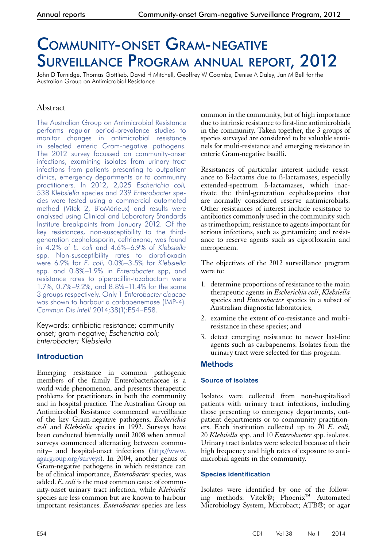# Community-onset Gram-negative Surveillance Program annual report, 2012

John D Turnidge, Thomas Gottlieb, David H Mitchell, Geoffrey W Coombs, Denise A Daley, Jan M Bell for the Australian Group on Antimicrobial Resistance

# Abstract

The Australian Group on Antimicrobial Resistance performs regular period-prevalence studies to monitor changes in antimicrobial resistance in selected enteric Gram-negative pathogens. The 2012 survey focussed on community-onset infections, examining isolates from urinary tract infections from patients presenting to outpatient clinics, emergency departments or to community practitioners. In 2012, 2,025 *Escherichia coli,*  538 *Klebsiella* species and 239 *Enterobacter* species were tested using a commercial automated method (Vitek 2, BioMérieux) and results were analysed using Clinical and Laboratory Standards Institute breakpoints from January 2012. Of the key resistances, non-susceptibility to the thirdgeneration cephalosporin, ceftriaxone, was found in 4.2% of *E. coli* and 4.6%–6.9% of *Klebsiella*  spp. Non-susceptibility rates to ciprofloxacin were 6.9% for *E. coli,* 0.0%–3.5% for *Klebsiella* spp. and 0.8%–1.9% in *Enterobacter* spp, and resistance rates to piperacillin-tazobactam were 1.7%, 0.7%–9.2%, and 8.8%–11.4% for the same 3 groups respectively. Only 1 *Enterobacter cloacae*  was shown to harbour a carbapenemase (IMP-4). *Commun Dis Intell* 2014;38(1):E54–E58.

Keywords: antibiotic resistance; community onset; gram-negative; *Escherichia coli; Enterobacter; Klebsiella*

## **Introduction**

Emerging resistance in common pathogenic members of the family Enterobacteriaceae is a world-wide phenomenon, and presents therapeutic problems for practitioners in both the community and in hospital practice. The Australian Group on Antimicrobial Resistance commenced surveillance of the key Gram-negative pathogens, *Escherichia coli* and *Klebsiella* species in 1992. Surveys have been conducted biennially until 2008 when annual surveys commenced alternating between commu-<br>nity– and hospital-onset infections [\(http://www.](http://www.agargroup.org/surveys) [agargroup.org/surveys](http://www.agargroup.org/surveys)). In 2004, another genus of Gram-negative pathogens in which resistance can be of clinical importance, *Enterobacter* species, was added. *E. coli* is the most common cause of commu- nity-onset urinary tract infection, while *Klebsiella* species are less common but are known to harbour important resistances. *Enterobacter* species are less

common in the community, but of high importance due to intrinsic resistance to first-line antimicrobials in the community. Taken together, the 3 groups of species surveyed are considered to be valuable sentinels for multi-resistance and emerging resistance in enteric Gram-negative bacilli.

Resistances of particular interest include resistance to ß-lactams due to ß-lactamases, especially extended-spectrum ß-lactamases, which inactivate the third-generation cephalosporins that are normally considered reserve antimicrobials. Other resistances of interest include resistance to antibiotics commonly used in the community such as trimethoprim; resistance to agents important for serious infections, such as gentamicin; and resistance to reserve agents such as ciprofloxacin and meropenem.

The objectives of the 2012 surveillance program were to:

- 1. determine proportions of resistance to the main therapeutic agents in *Escherichia coli*, *Klebsiella* species and *Enterobacter* species in a subset of Australian diagnostic laboratories;
- 2. examine the extent of co-resistance and multiresistance in these species; and
- 3. detect emerging resistance to newer last-line agents such as carbapenems. Isolates from the urinary tract were selected for this program.

## **Methods**

## **Source of isolates**

Isolates were collected from non-hospitalised patients with urinary tract infections, including those presenting to emergency departments, outpatient departments or to community practitioners. Each institution collected up to 70 *E. coli,* 20 *Klebsiella* spp. and 10 *Enterobacter* spp. isolates. Urinary tract isolates were selected because of their high frequency and high rates of exposure to anti- microbial agents in the community.

## **Species identification**

Isolates were identified by one of the following methods: Vitek®; Phoenix™ Automated Microbiology System, Microbact; ATB®; or agar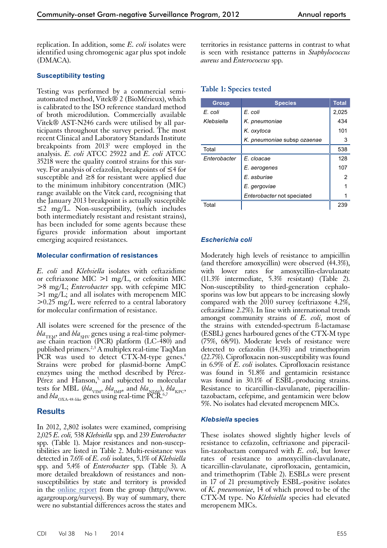replication. In addition, some *E. coli* isolates were identified using chromogenic agar plus spot indole (DMACA).

#### **Susceptibility testing**

Testing was performed by a commercial semiautomated method, Vitek® 2 (BioMérieux), which is calibrated to the ISO reference standard method of broth microdilution. Commercially available Vitek® AST-N246 cards were utilised by all participants throughout the survey period. The most recent Clinical and Laboratory Standards Institute breakpoints from 2013<sup>1</sup> were employed in the analysis. *E. coli* ATCC 25922 and *E. coli* ATCC 35218 were the quality control strains for this survey. For analysis of cefazolin, breakpoints of ≤4 for susceptible and ≥8 for resistant were applied due to the minimum inhibitory concentration (MIC) range available on the Vitek card, recognising that the January 2013 breakpoint is actually susceptible  $\leq$  mg/L. Non-susceptibility, (which includes both intermediately resistant and resistant strains), has been included for some agents because these figures provide information about important emerging acquired resistances.

#### **Molecular confirmation of resistances**

*E. coli* and *Klebsiella* isolates with ceftazidime or ceftriaxone MIC >1 mg/L, or cefoxitin MIC >8 mg/L; *Enterobacter* spp. with cefepime MIC >1 mg/L; and all isolates with meropenem MIC >0.25 mg/L were referred to a central laboratory for molecular confirmation of resistance.

All isolates were screened for the presence of the *bla*<sub>TEM</sub>, and *bla*<sub>SHV</sub> genes using a real-time polymerase chain reaction (PCR) platform (LC-480) and published primers.2,3 A multiplex real-time TaqMan PCR was used to detect CTX-M-type genes.<sup>4</sup> Strains were probed for plasmid-borne AmpC enzymes using the method described by Pérez-Pérez and Hanson,<sup>5</sup> and subjected to molecular tests for MBL (*bla*<sub>VIM</sub>, *bla*<sub>IMP</sub>, and *bla*<sub>NDM</sub>), *bla*<sub>KPC</sub>, and  $bla_{\rm OXA\text{-}48\text{-like}}$  genes using real-time PCR.<sup>6,7</sup>

## **Results**

In 2012, 2,802 isolates were examined, comprising 2,025 *E. coli,* 538 *Klebsiella* spp. and 239 *Enterobacter* spp. (Table 1). Major resistances and non-suscep- tibilities are listed in Table 2. Multi-resistance was detected in 7.6% of *E. coli* isolates, 5.1% of *Klebsiella* spp. and 5.4% of *Enterobacter* spp. (Table 3). A more detailed breakdown of resistances and nonsusceptibilities by state and territory is provided in the [online report](http://www.agargroup.org/surveys) from the group (http://www. agargroup.org/surveys). By way of summary, there were no substantial differences across the states and

territories in resistance patterns in contrast to what is seen with resistance patterns in *Staphylococcus aureus* and *Enterococcus* spp.

| <b>Group</b> | <b>Species</b>              | <b>Total</b> |
|--------------|-----------------------------|--------------|
| E. coli      | E. coli                     | 2,025        |
| Klebsiella   | K. pneumoniae               | 434          |
|              | K. oxytoca                  | 101          |
|              | K. pneumoniae subsp ozaenae | 3            |
| Total        |                             | 538          |
| Enterobacter | E. cloacae                  | 128          |
|              | E. aerogenes                | 107          |
|              | E. asburiae                 | 2            |
|              | E. gergoviae                |              |
|              | Enterobacter not speciated  |              |
| Total        |                             | 239          |

#### **Table 1: Species tested**

#### *Escherichia coli*

Moderately high levels of resistance to ampicillin (and therefore amoxycillin) were observed (44.3%), with lower rates for amoxycillin-clavulanate (11.3% intermediate, 5.3% resistant) (Table 2). Non-susceptibility to third-generation cephalosporins was low but appears to be increasing slowly compared with the 2010 survey (ceftriaxone 4.2%, ceftazidime 2.2%). In line with international trends amongst community strains of *E. coli*, most of the strains with extended-spectrum ß-lactamase (ESBL) genes harboured genes of the CTX-M type (75%, 68/91). Moderate levels of resistance were detected to cefazolin (14.3%) and trimethoprim (22.7%). Ciprofloxacin non-susceptibility was found in 6.9% of *E. coli* isolates. Ciprofloxacin resistance was found in 51.8% and gentamicin resistance was found in 30.1% of ESBL-producing strains. Resistance to ticarcillin-clavulanate, piperacillintazobactam, cefepime, and gentamicin were below 5%. No isolates had elevated meropenem MICs.

#### *Klebsiella* **species**

These isolates showed slightly higher levels of resistance to cefazolin, ceftriaxone and piperacil- lin-tazobactam compared with *E. coli*, but lower rates of resistance to amoxycillin-clavulanate, ticarcillin-clavulanate, ciprofloxacin, gentamicin, and trimethoprim (Table 2). ESBLs were present in 17 of 21 presumptively ESBL-positive isolates of *K. pneumoniae*, 14 of which proved to be of the CTX-M type. No *Klebsiella* species had elevated meropenem MICs.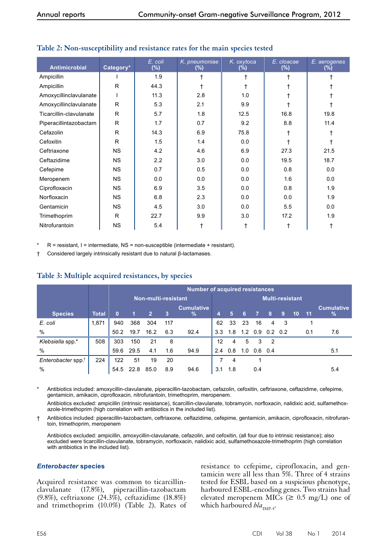| Antimicrobial           | Category* | E. coli<br>(%) | K. pneumoniae<br>$(\%)$ | K. oxytoca<br>(%) | E. cloacae<br>(%) | E. aerogenes<br>(%) |
|-------------------------|-----------|----------------|-------------------------|-------------------|-------------------|---------------------|
| Ampicillin              |           | 1.9            |                         | t                 |                   |                     |
| Ampicillin              | R         | 44.3           |                         |                   |                   |                     |
| Amoxycillinclavulanate  |           | 11.3           | 2.8                     | 1.0               |                   |                     |
| Amoxycillinclavulanate  | R         | 5.3            | 2.1                     | 9.9               |                   |                     |
| Ticarcillin-clavulanate | R         | 5.7            | 1.8                     | 12.5              | 16.8              | 19.8                |
| Piperacillintazobactam  | R         | 1.7            | 0.7                     | 9.2               | 8.8               | 11.4                |
| Cefazolin               | R         | 14.3           | 6.9                     | 75.8              |                   |                     |
| Cefoxitin               | R         | 1.5            | 1.4                     | 0.0               |                   |                     |
| Ceftriaxone             | <b>NS</b> | 4.2            | 4.6                     | 6.9               | 27.3              | 21.5                |
| Ceftazidime             | <b>NS</b> | 2.2            | 3.0                     | 0.0               | 19.5              | 18.7                |
| Cefepime                | <b>NS</b> | 0.7            | 0.5                     | 0.0               | 0.8               | 0.0                 |
| Meropenem               | <b>NS</b> | 0.0            | 0.0                     | 0.0               | 1.6               | 0.0                 |
| Ciprofloxacin           | <b>NS</b> | 6.9            | 3.5                     | 0.0               | 0.8               | 1.9                 |
| Norfloxacin             | <b>NS</b> | 6.8            | 2.3                     | 0.0               | 0.0               | 1.9                 |
| Gentamicin              | <b>NS</b> | 4.5            | 3.0                     | 0.0               | 5.5               | 0.0                 |
| Trimethoprim            | R         | 22.7           | 9.9                     | 3.0               | 17.2              | 1.9                 |
| Nitrofurantoin          | <b>NS</b> | 5.4            |                         |                   | Т                 |                     |

## **Table 2: Non-susceptibility and resistance rates for the main species tested**

 $R$  = resistant, I = intermediate, NS = non-susceptible (intermediate + resistant).

† Considered largely intrinsically resistant due to natural β-lactamases.

|                                |              | Number of acquired resistances |           |                |     |                           |                        |     |     |     |                                     |     |          |     |                                    |
|--------------------------------|--------------|--------------------------------|-----------|----------------|-----|---------------------------|------------------------|-----|-----|-----|-------------------------------------|-----|----------|-----|------------------------------------|
|                                |              | Non-multi-resistant            |           |                |     |                           | <b>Multi-resistant</b> |     |     |     |                                     |     |          |     |                                    |
| <b>Species</b>                 | <b>Total</b> | 0                              |           | $\overline{2}$ | -3  | <b>Cumulative</b><br>$\%$ | 4                      | 5   | 6   | -7  | -8                                  | -9  | $-10$ 11 |     | <b>Cumulative</b><br>$\frac{9}{6}$ |
| E. coli                        | 1,871        | 940                            | 368       | 304            | 117 |                           | 62                     | 33  | -23 | 16  | 4                                   | - 3 |          |     |                                    |
| $\%$                           |              | 50.2                           | 19.7      | 16.2           | 6.3 | 92.4                      | 3.3                    | 1.8 |     |     | $1.2 \quad 0.9 \quad 0.2 \quad 0.2$ |     |          | 0.1 | 7.6                                |
| Klebsiella spp.*               | 508          | 303                            | 150       | 21             | 8   |                           | 12                     | 4   | 5   | 3   | $\overline{2}$                      |     |          |     |                                    |
| $\%$                           |              | 59.6                           | 29.5      | 4.1            | 1.6 | 94.9                      | 2.4                    | 0.8 | 1.0 | 0.6 | 0.4                                 |     |          |     | 5.1                                |
| Enterobacter spp. <sup>†</sup> | 224          | 122                            | 51        | 19             | 20  |                           |                        | 4   |     |     |                                     |     |          |     |                                    |
| $\%$                           |              |                                | 54.5 22.8 | 85.0           | 8.9 | 94.6                      | 3.1                    | 1.8 |     | 0.4 |                                     |     |          |     | 5.4                                |

## **Table 3: Multiple acquired resistances, by species**

Antibiotics included: amoxycillin-clavulanate, piperacillin-tazobactam, cefazolin, cefoxitin, ceftriaxone, ceftazidime, cefepime, gentamicin, amikacin, ciprofloxacin, nitrofurantoin, trimethoprim, meropenem.

 Antibiotics excluded: ampicillin (intrinsic resistance), ticarcillin-clavulanate, tobramycin, norfloxacin, nalidixic acid, sulfamethoxazole-trimethoprim (high correlation with antibiotics in the included list).

† Antibiotics included: piperacillin-tazobactam, ceftriaxone, ceftazidime, cefepime, gentamicin, amikacin, ciprofloxacin, nitrofurantoin, trimethoprim, meropenem

Antibiotics excluded: ampicillin, amoxycillin-clavulanate, cefazolin, and cefoxitin, (all four due to intrinsic resistance); also excluded were ticarcillin-clavulanate, tobramycin, norfloxacin, nalidixic acid, sulfamethoxazole-trimethoprim (high correlation with antibiotics in the included list).

#### *Enterobacter* **species**

Acquired resistance was common to ticarcillinclavulanate (17.8%), piperacillin-tazobactam (9.8%), ceftriaxone (24.3%), ceftazidime (18.8%) and trimethoprim (10.0%) (Table 2). Rates of resistance to cefepime, ciprofloxacin, and gentamicin were all less than 5%. Three of 4 strains tested for ESBL based on a suspicious phenotype, harboured ESBL-encoding genes. Two strains had elevated meropenem MICs ( $\geq 0.5$  mg/L) one of which harboured *bla*<sub>IMP-4</sub>.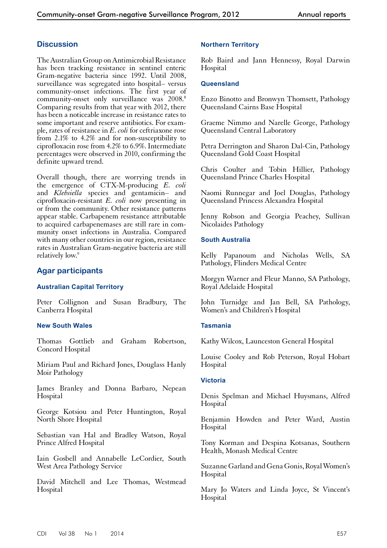## **Discussion**

The Australian Group on Antimicrobial Resistance has been tracking resistance in sentinel enteric Gram-negative bacteria since 1992. Until 2008, surveillance was segregated into hospital– versus community-onset infections. The first year of community-onset only surveillance was 2008.8 Comparing results from that year with 2012, there has been a noticeable increase in resistance rates to some important and reserve antibiotics. For example, rates of resistance in *E. coli* for ceftriaxone rose from 2.1% to 4.2% and for non-susceptibility to ciprofloxacin rose from 4.2% to 6.9%. Intermediate percentages were observed in 2010, confirming the definite upward trend.

Overall though, there are worrying trends in the emergence of CTX-M-producing *E. coli* and *Klebsiella* species and gentamicin– and ciprofloxacin-resistant *E. coli* now presenting in or from the community. Other resistance patterns appear stable. Carbapenem resistance attributable to acquired carbapenemases are still rare in community onset infections in Australia. Compared with many other countries in our region, resistance rates in Australian Gram-negative bacteria are still relatively low.<sup>9</sup>

## **Agar participants**

#### **Australian Capital Territory**

Peter Collignon and Susan Bradbury, The Canberra Hospital

#### **New South Wales**

Thomas Gottlieb and Graham Robertson, Concord Hospital

Miriam Paul and Richard Jones, Douglass Hanly Moir Pathology

James Branley and Donna Barbaro, Nepean Hospital

George Kotsiou and Peter Huntington, Royal North Shore Hospital

Sebastian van Hal and Bradley Watson, Royal Prince Alfred Hospital

Iain Gosbell and Annabelle LeCordier, South West Area Pathology Service

David Mitchell and Lee Thomas, Westmead Hospital

#### **Northern Territory**

Rob Baird and Jann Hennessy, Royal Darwin Hospital

#### **Queensland**

Enzo Binotto and Bronwyn Thomsett, Pathology Queensland Cairns Base Hospital

Graeme Nimmo and Narelle George, Pathology Queensland Central Laboratory

Petra Derrington and Sharon Dal-Cin, Pathology Queensland Gold Coast Hospital

Chris Coulter and Tobin Hillier, Pathology Queensland Prince Charles Hospital

Naomi Runnegar and Joel Douglas, Pathology Queensland Princess Alexandra Hospital

Jenny Robson and Georgia Peachey, Sullivan Nicolaides Pathology

#### **South Australia**

Kelly Papanoum and Nicholas Wells, SA Pathology, Flinders Medical Centre

Morgyn Warner and Fleur Manno, SA Pathology, Royal Adelaide Hospital

John Turnidge and Jan Bell, SA Pathology, Women's and Children's Hospital

#### **Tasmania**

Kathy Wilcox, Launceston General Hospital

Louise Cooley and Rob Peterson, Royal Hobart Hospital

#### **Victoria**

Denis Spelman and Michael Huysmans, Alfred Hospital

Benjamin Howden and Peter Ward, Austin **Hospital** 

Tony Korman and Despina Kotsanas, Southern Health, Monash Medical Centre

Suzanne Garland and Gena Gonis, Royal Women's **Hospital** 

Mary Jo Waters and Linda Joyce, St Vincent's Hospital